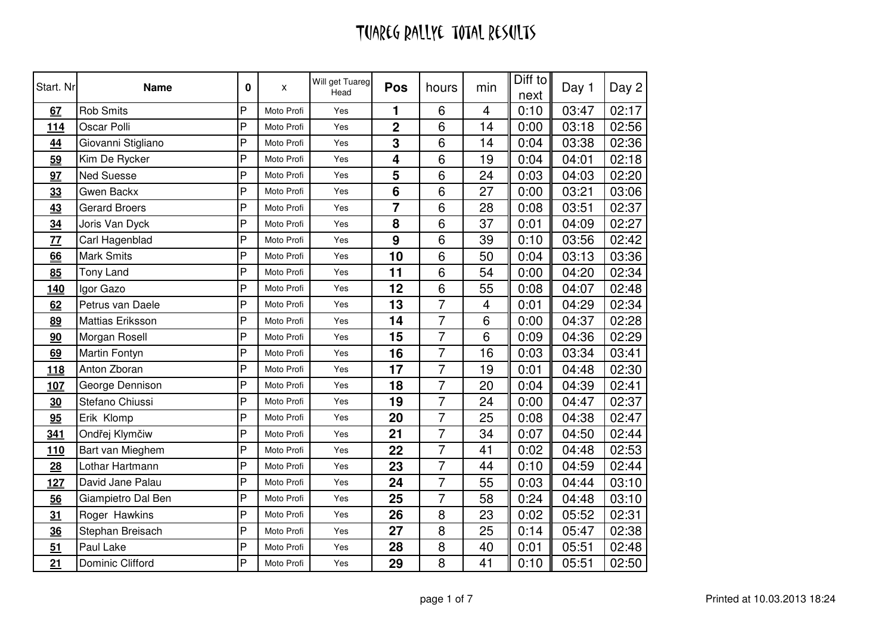# TUAREG RALLYE TOTAL RESULTS

| Start. Nr               | <b>Name</b>             | 0 | X          | Will get Tuareg<br>Head | <b>Pos</b>      | hours          | min | Diff to<br>next | Day 1 | Day 2 |
|-------------------------|-------------------------|---|------------|-------------------------|-----------------|----------------|-----|-----------------|-------|-------|
| 67                      | <b>Rob Smits</b>        | P | Moto Profi | Yes                     | 1               | 6              | 4   | 0:10            | 03:47 | 02:17 |
| <u>114</u>              | Oscar Polli             | P | Moto Profi | Yes                     | $\mathbf 2$     | 6              | 14  | 0:00            | 03:18 | 02:56 |
| 44                      | Giovanni Stigliano      | P | Moto Profi | Yes                     | 3               | 6              | 14  | 0:04            | 03:38 | 02:36 |
| 59                      | Kim De Rycker           | P | Moto Profi | Yes                     | 4               | 6              | 19  | 0:04            | 04:01 | 02:18 |
| 97                      | <b>Ned Suesse</b>       | P | Moto Profi | Yes                     | 5               | 6              | 24  | 0:03            | 04:03 | 02:20 |
| 33                      | Gwen Backx              | P | Moto Profi | Yes                     | $6\phantom{1}6$ | 6              | 27  | 0:00            | 03:21 | 03:06 |
| 43                      | <b>Gerard Broers</b>    | P | Moto Profi | Yes                     | $\overline{7}$  | 6              | 28  | 0:08            | 03:51 | 02:37 |
| 34                      | Joris Van Dyck          | P | Moto Profi | Yes                     | 8               | 6              | 37  | 0:01            | 04:09 | 02:27 |
| $\overline{\mathbf{Z}}$ | Carl Hagenblad          | P | Moto Profi | Yes                     | 9               | 6              | 39  | 0:10            | 03:56 | 02:42 |
| 66                      | <b>Mark Smits</b>       | P | Moto Profi | Yes                     | 10              | 6              | 50  | 0:04            | 03:13 | 03:36 |
| 85                      | <b>Tony Land</b>        | P | Moto Profi | Yes                     | 11              | 6              | 54  | 0:00            | 04:20 | 02:34 |
| <b>140</b>              | Igor Gazo               | P | Moto Profi | Yes                     | 12              | 6              | 55  | 0:08            | 04:07 | 02:48 |
| 62                      | Petrus van Daele        | P | Moto Profi | Yes                     | 13              | $\overline{7}$ | 4   | 0:01            | 04:29 | 02:34 |
| 89                      | <b>Mattias Eriksson</b> | P | Moto Profi | Yes                     | 14              | $\overline{7}$ | 6   | 0:00            | 04:37 | 02:28 |
| 90                      | Morgan Rosell           | P | Moto Profi | Yes                     | 15              | $\overline{7}$ | 6   | 0:09            | 04:36 | 02:29 |
| 69                      | Martin Fontyn           | P | Moto Profi | Yes                     | 16              | $\overline{7}$ | 16  | 0:03            | 03:34 | 03:41 |
| <u>118</u>              | Anton Zboran            | P | Moto Profi | Yes                     | 17              | $\overline{7}$ | 19  | 0:01            | 04:48 | 02:30 |
| <b>107</b>              | George Dennison         | P | Moto Profi | Yes                     | 18              | $\overline{7}$ | 20  | 0:04            | 04:39 | 02:41 |
| 30                      | Stefano Chiussi         | P | Moto Profi | Yes                     | 19              | $\overline{7}$ | 24  | 0:00            | 04:47 | 02:37 |
| 95                      | Erik Klomp              | P | Moto Profi | Yes                     | 20              | $\overline{7}$ | 25  | 0:08            | 04:38 | 02:47 |
| 341                     | Ondřej Klymčiw          | P | Moto Profi | Yes                     | 21              | $\overline{7}$ | 34  | 0:07            | 04:50 | 02:44 |
| 110                     | Bart van Mieghem        | P | Moto Profi | Yes                     | 22              | $\overline{7}$ | 41  | 0:02            | 04:48 | 02:53 |
| 28                      | Lothar Hartmann         | P | Moto Profi | Yes                     | 23              | $\overline{7}$ | 44  | 0:10            | 04:59 | 02:44 |
| <u>127</u>              | David Jane Palau        | P | Moto Profi | Yes                     | 24              | $\overline{7}$ | 55  | 0:03            | 04:44 | 03:10 |
| 56                      | Giampietro Dal Ben      | P | Moto Profi | Yes                     | 25              | $\overline{7}$ | 58  | 0:24            | 04:48 | 03:10 |
| 31                      | Roger Hawkins           | P | Moto Profi | Yes                     | 26              | 8              | 23  | 0:02            | 05:52 | 02:31 |
| $\frac{36}{5}$          | Stephan Breisach        | P | Moto Profi | Yes                     | 27              | 8              | 25  | 0:14            | 05:47 | 02:38 |
| 51                      | Paul Lake               | P | Moto Profi | Yes                     | 28              | 8              | 40  | 0:01            | 05:51 | 02:48 |
| 21                      | Dominic Clifford        | P | Moto Profi | Yes                     | 29              | 8              | 41  | 0:10            | 05:51 | 02:50 |
|                         |                         |   |            |                         |                 |                |     |                 |       |       |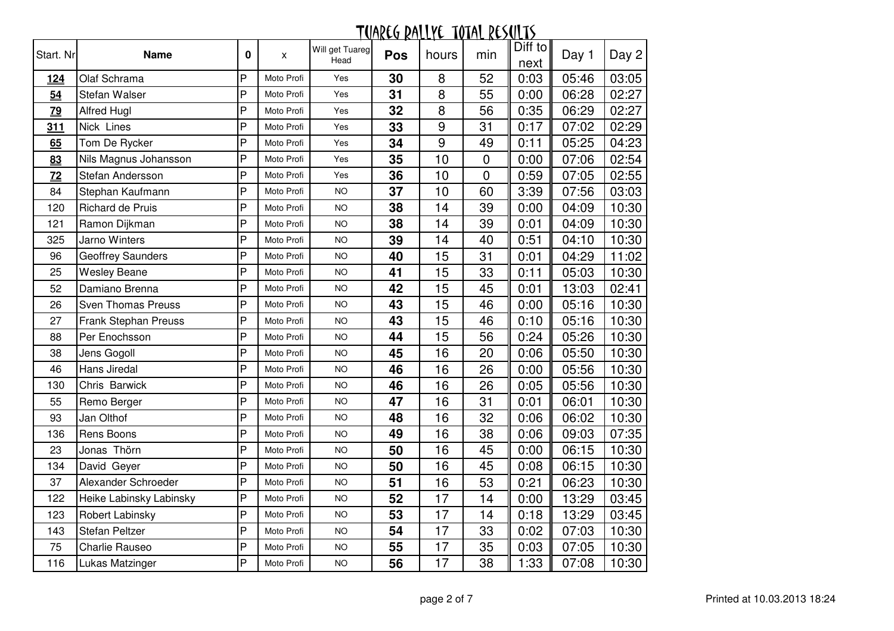#### <u>TUAREG RALLYE TOTAL RESULTS</u> Diff to Start. NrName 0 **x** Will get Tuareg  $\begin{array}{cc} \Gamma^{\text{uareg}} & \textbf{Pos} \end{array}$  hours min  $\begin{array}{cc} \parallel \text{Diff to} \parallel \text{next} \end{array}$  $\begin{array}{c|c} \text{Dini 1} \\ \text{next} \end{array}$  Day 1 | Day 2 124Olaf Schrama<br>Stefan Walser P Moto Profi Yes 30<br>Moto Profi Yes 31 **0** | 8 | 52 | 0:03 | 05:46 | 03:05 54Stefan Walser<br>Alfred Hugl Moto Profi Yes 31<br>Moto Profi Yes 32 <sup>8</sup> <sup>55</sup> 0:00 06:28 02:27 79Alfred Hugl P<br>Nick Lines Moto Profi Yes 32<br>Moto Profi Yes 33 **2** | 8 | 56 | 0:35 | 06:29 | 02:27 311Nick Lines<br>Tom De Rycker P Moto Profi Yes 33<br>Moto Profi Yes 34 **3** 9 31 0:17 07:02 02:29 65Tom De Rycker<br>Nils Magnus Johansson<br>P Moto Profi Yes 34<br>Moto Profi Yes 35 <sup>9</sup> <sup>49</sup> 0:11 05:25 04:23 83Nils Magnus Johansson<br>Stefan Andersson<br>P Moto Profi Yes 35<br>Moto Profi Yes 36 **5** 10 0 0:00 07:06 02:54 72Stefan Andersson<br>Stephan Kaufmann Moto Profi Yes 36<br>Moto Profi NO 37 **6** | 10 | 0 | 0:59 | 07:05 | 02:55 84 Stephan Kaufmann P Moto Profi NO 37<br>P Moto Profi NO 38 <sup>10</sup> <sup>60</sup> 3:39 07:56 03:03 120 Richard de Pruis P Moto Profi NO 38 **8** | 14 | 39 | 0:00 | 04:09 | 10:30 121 Ramon Diikman P Moto Profi NO 38<br>P Moto Profi NO 39 **8** 14 39 0:01 04:09 10:30 325 Jarno Winters P Moto Profi NO 39 **9** 14 40 0:51 04:10 10:30 96 Geoffrey Saunders P Moto Profi NO 40 **0** | 15 | 31 | 0:01 | 04:29 | 11:02 25 Wesley Beane P Moto Profi NO 41<br>P Moto Profi NO 42 1 | 15 | 33 | 0:11 | 05:03 | 10:30 52 Damiano Brenna P Moto Profi NO 42 **2** | 15 | 45 | 0:01 | 13:03 | 02:41 26 Sven Thomas Preuss P Moto Profi NO 43 **3** | 15 | 46 | 0:00 | 05:16 | 10:30 27 Frank Stephan Preuss P Moto Profi NO 43 **3** | 15 | 46 | 0:10 | 05:16 | 10:30 88 Per Enochsson P Moto Profi NO 44 <sup>15</sup> <sup>56</sup> 0:24 05:26 10:30 38 Jens Gogoll P Moto Profi NO 45 <sup>16</sup> <sup>20</sup> 0:06 05:50 10:30 46 Hans Jiredal P Moto Profi NO 46 <sup>16</sup> <sup>26</sup> 0:00 05:56 10:30 130 Chris Barwick P Moto Profi NO 46 **6** | 16 | 26 | 0:05 | 05:56 | 10:30 55 Remo Berger P Moto Profi NO 47<br>P Moto Profi NO 48 <mark>7 | 16 | 31 | 0:01 | 06:01 | 10:30</mark> 93 Jan Olthof P Moto Profi NO 48<br>P Moto Profi NO 49 **8** 16 32 0:06 06:02 10:30 136 **Rens Boons** P Moto Profi NO 49<br>P Moto Profi NO 50 **9** | 16 | 38 | 0:06 | 09:03 | 07:35 23 Jonas Thörn P Moto Profi NO 50 0 | 16 | 45 | 0:00 | 06:15 | 10:30 134 David Geyer P Moto Profi NO 50 **0** | 16 | 45 | 0:08 | 06:15 | 10:30 37 Alexander Schroeder P Moto Profi NO 51<br>P Moto Profi NO 52 1 | 16 | 53 | 0:21 | 06:23 | 10:30 122 Heike Labinsky Labinsky P Moto Profi NO 52<br>P Moto Profi NO 53 2 | 17 | 14 | 0:00 | 13:29 | 03:45 123 **Robert Labinsky** P Moto Profi NO 53<br>P Moto Profi NO 54 **3** | 17 | 14 | 0:18 | 13:29 | 03:45 143 | Stefan Peltzer P Moto Profi NO 54 **4** | 17 | 33 | 0:02 | 07:03 | 10:30 75 Charlie Rauseo P Moto Profi NO 55 <sup>17</sup> <sup>35</sup> 0:03 07:05 10:30 116 | Lukas Matzinger Moto Profi NO 6 | 17 | 38 || 1:33 || 07:08 | 10:30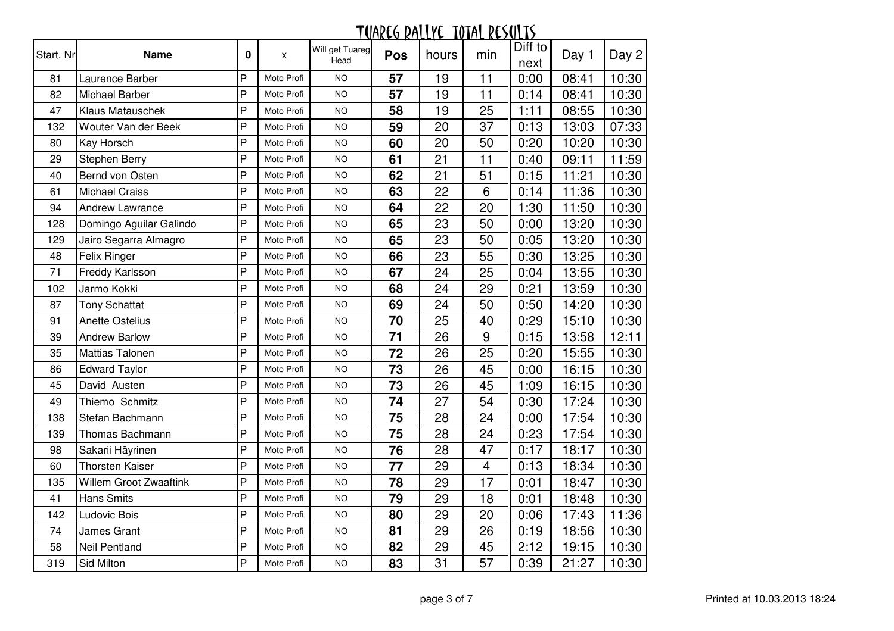| Start. Nr | <b>Name</b>             | 0 | X          | Will get Tuareg<br>Head | <b>Pos</b> | hours | min            | Diff to<br>next | Day 1 | Day 2 |
|-----------|-------------------------|---|------------|-------------------------|------------|-------|----------------|-----------------|-------|-------|
| 81        | Laurence Barber         | P | Moto Profi | <b>NO</b>               | 57         | 19    | 11             | 0:00            | 08:41 | 10:30 |
| 82        | Michael Barber          | P | Moto Profi | <b>NO</b>               | 57         | 19    | 11             | 0:14            | 08:41 | 10:30 |
| 47        | Klaus Matauschek        | P | Moto Profi | <b>NO</b>               | 58         | 19    | 25             | 1:11            | 08:55 | 10:30 |
| 132       | Wouter Van der Beek     | P | Moto Profi | <b>NO</b>               | 59         | 20    | 37             | 0:13            | 13:03 | 07:33 |
| 80        | Kay Horsch              | P | Moto Profi | <b>NO</b>               | 60         | 20    | 50             | 0:20            | 10:20 | 10:30 |
| 29        | Stephen Berry           | P | Moto Profi | <b>NO</b>               | 61         | 21    | 11             | 0:40            | 09:11 | 11:59 |
| 40        | Bernd von Osten         | P | Moto Profi | <b>NO</b>               | 62         | 21    | 51             | 0:15            | 11:21 | 10:30 |
| 61        | <b>Michael Craiss</b>   | P | Moto Profi | <b>NO</b>               | 63         | 22    | 6              | 0:14            | 11:36 | 10:30 |
| 94        | <b>Andrew Lawrance</b>  | P | Moto Profi | <b>NO</b>               | 64         | 22    | 20             | 1:30            | 11:50 | 10:30 |
| 128       | Domingo Aguilar Galindo | P | Moto Profi | <b>NO</b>               | 65         | 23    | 50             | 0:00            | 13:20 | 10:30 |
| 129       | Jairo Segarra Almagro   | P | Moto Profi | <b>NO</b>               | 65         | 23    | 50             | 0:05            | 13:20 | 10:30 |
| 48        | Felix Ringer            | P | Moto Profi | <b>NO</b>               | 66         | 23    | 55             | 0:30            | 13:25 | 10:30 |
| 71        | Freddy Karlsson         | P | Moto Profi | <b>NO</b>               | 67         | 24    | 25             | 0:04            | 13:55 | 10:30 |
| 102       | Jarmo Kokki             | P | Moto Profi | <b>NO</b>               | 68         | 24    | 29             | 0:21            | 13:59 | 10:30 |
| 87        | <b>Tony Schattat</b>    | P | Moto Profi | <b>NO</b>               | 69         | 24    | 50             | 0:50            | 14:20 | 10:30 |
| 91        | <b>Anette Ostelius</b>  | P | Moto Profi | <b>NO</b>               | 70         | 25    | 40             | 0:29            | 15:10 | 10:30 |
| 39        | <b>Andrew Barlow</b>    | P | Moto Profi | <b>NO</b>               | 71         | 26    | 9              | 0:15            | 13:58 | 12:11 |
| 35        | <b>Mattias Talonen</b>  | P | Moto Profi | <b>NO</b>               | 72         | 26    | 25             | 0:20            | 15:55 | 10:30 |
| 86        | <b>Edward Taylor</b>    | P | Moto Profi | <b>NO</b>               | 73         | 26    | 45             | 0:00            | 16:15 | 10:30 |
| 45        | David Austen            | P | Moto Profi | <b>NO</b>               | 73         | 26    | 45             | 1:09            | 16:15 | 10:30 |
| 49        | Thiemo Schmitz          | P | Moto Profi | <b>NO</b>               | 74         | 27    | 54             | 0:30            | 17:24 | 10:30 |
| 138       | Stefan Bachmann         | P | Moto Profi | <b>NO</b>               | 75         | 28    | 24             | 0:00            | 17:54 | 10:30 |
| 139       | Thomas Bachmann         | P | Moto Profi | <b>NO</b>               | 75         | 28    | 24             | 0:23            | 17:54 | 10:30 |
| 98        | Sakarii Häyrinen        | P | Moto Profi | <b>NO</b>               | 76         | 28    | 47             | 0:17            | 18:17 | 10:30 |
| 60        | <b>Thorsten Kaiser</b>  | P | Moto Profi | <b>NO</b>               | 77         | 29    | $\overline{4}$ | 0:13            | 18:34 | 10:30 |
| 135       | Willem Groot Zwaaftink  | P | Moto Profi | <b>NO</b>               | 78         | 29    | 17             | 0:01            | 18:47 | 10:30 |
| 41        | <b>Hans Smits</b>       | P | Moto Profi | <b>NO</b>               | 79         | 29    | 18             | 0:01            | 18:48 | 10:30 |
| 142       | Ludovic Bois            | P | Moto Profi | <b>NO</b>               | 80         | 29    | 20             | 0:06            | 17:43 | 11:36 |
| 74        | James Grant             | P | Moto Profi | <b>NO</b>               | 81         | 29    | 26             | 0:19            | 18:56 | 10:30 |
| 58        | <b>Neil Pentland</b>    | P | Moto Profi | <b>NO</b>               | 82         | 29    | 45             | 2:12            | 19:15 | 10:30 |
| 319       | Sid Milton              | P | Moto Profi | <b>NO</b>               | 83         | 31    | 57             | 0:39            | 21:27 | 10:30 |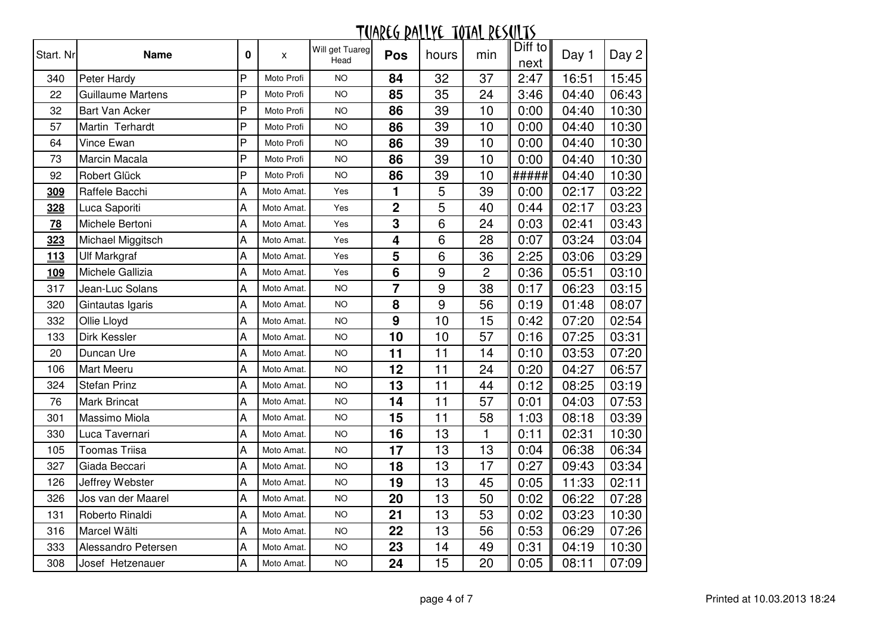| Start. Nr  | <b>Name</b>           | 0 | X          | Will get Tuareg<br>Head | <b>Pos</b>              | hours           | min            | Diff to<br>next | Day 1 | Day 2 |
|------------|-----------------------|---|------------|-------------------------|-------------------------|-----------------|----------------|-----------------|-------|-------|
| 340        | Peter Hardy           | P | Moto Profi | <b>NO</b>               | 84                      | 32              | 37             | 2:47            | 16:51 | 15:45 |
| 22         | Guillaume Martens     | P | Moto Profi | <b>NO</b>               | 85                      | 35              | 24             | 3:46            | 04:40 | 06:43 |
| 32         | <b>Bart Van Acker</b> | P | Moto Profi | <b>NO</b>               | 86                      | 39              | 10             | 0:00            | 04:40 | 10:30 |
| 57         | Martin Terhardt       | P | Moto Profi | <b>NO</b>               | 86                      | 39              | 10             | 0:00            | 04:40 | 10:30 |
| 64         | Vince Ewan            | P | Moto Profi | <b>NO</b>               | 86                      | 39              | 10             | 0:00            | 04:40 | 10:30 |
| 73         | Marcin Macala         | P | Moto Profi | <b>NO</b>               | 86                      | 39              | 10             | 0:00            | 04:40 | 10:30 |
| 92         | Robert Glück          | P | Moto Profi | <b>NO</b>               | 86                      | 39              | 10             | #####           | 04:40 | 10:30 |
| 309        | Raffele Bacchi        | A | Moto Amat. | Yes                     | 1                       | 5               | 39             | 0:00            | 02:17 | 03:22 |
| 328        | Luca Saporiti         | A | Moto Amat. | Yes                     | $\mathbf 2$             | 5               | 40             | 0:44            | 02:17 | 03:23 |
| 78         | Michele Bertoni       | A | Moto Amat. | Yes                     | 3                       | 6               | 24             | 0:03            | 02:41 | 03:43 |
| 323        | Michael Miggitsch     | A | Moto Amat. | Yes                     | $\overline{\mathbf{4}}$ | $6\phantom{1}6$ | 28             | 0:07            | 03:24 | 03:04 |
| <u>113</u> | <b>Ulf Markgraf</b>   | А | Moto Amat. | Yes                     | 5                       | 6               | 36             | 2:25            | 03:06 | 03:29 |
| 109        | Michele Gallizia      | A | Moto Amat. | Yes                     | $6\phantom{1}6$         | 9               | $\overline{c}$ | 0:36            | 05:51 | 03:10 |
| 317        | Jean-Luc Solans       | А | Moto Amat. | <b>NO</b>               | $\overline{\mathbf{z}}$ | 9               | 38             | 0:17            | 06:23 | 03:15 |
| 320        | Gintautas Igaris      | A | Moto Amat. | <b>NO</b>               | 8                       | 9               | 56             | 0:19            | 01:48 | 08:07 |
| 332        | Ollie Lloyd           | A | Moto Amat. | <b>NO</b>               | 9                       | 10              | 15             | 0:42            | 07:20 | 02:54 |
| 133        | Dirk Kessler          | A | Moto Amat. | <b>NO</b>               | 10                      | 10              | 57             | 0:16            | 07:25 | 03:31 |
| 20         | Duncan Ure            | A | Moto Amat. | <b>NO</b>               | 11                      | 11              | 14             | 0:10            | 03:53 | 07:20 |
| 106        | <b>Mart Meeru</b>     | A | Moto Amat. | <b>NO</b>               | 12                      | $\overline{11}$ | 24             | 0:20            | 04:27 | 06:57 |
| 324        | <b>Stefan Prinz</b>   | Α | Moto Amat. | <b>NO</b>               | 13                      | 11              | 44             | 0:12            | 08:25 | 03:19 |
| 76         | <b>Mark Brincat</b>   | A | Moto Amat. | <b>NO</b>               | 14                      | 11              | 57             | 0:01            | 04:03 | 07:53 |
| 301        | Massimo Miola         | A | Moto Amat. | <b>NO</b>               | 15                      | 11              | 58             | 1:03            | 08:18 | 03:39 |
| 330        | Luca Tavernari        | A | Moto Amat. | <b>NO</b>               | 16                      | 13              | $\mathbf{1}$   | 0:11            | 02:31 | 10:30 |
| 105        | <b>Toomas Triisa</b>  | A | Moto Amat. | <b>NO</b>               | 17                      | 13              | 13             | 0:04            | 06:38 | 06:34 |
| 327        | Giada Beccari         | A | Moto Amat. | <b>NO</b>               | 18                      | 13              | 17             | 0:27            | 09:43 | 03:34 |
| 126        | Jeffrey Webster       | A | Moto Amat. | <b>NO</b>               | 19                      | 13              | 45             | 0:05            | 11:33 | 02:11 |
| 326        | Jos van der Maarel    | A | Moto Amat. | <b>NO</b>               | 20                      | 13              | 50             | 0:02            | 06:22 | 07:28 |
| 131        | Roberto Rinaldi       | A | Moto Amat. | <b>NO</b>               | 21                      | 13              | 53             | 0:02            | 03:23 | 10:30 |
| 316        | Marcel Wälti          | A | Moto Amat. | <b>NO</b>               | 22                      | 13              | 56             | 0:53            | 06:29 | 07:26 |
| 333        | Alessandro Petersen   | A | Moto Amat. | <b>NO</b>               | 23                      | 14              | 49             | 0:31            | 04:19 | 10:30 |
| 308        | Josef Hetzenauer      | Α | Moto Amat. | <b>NO</b>               | 24                      | 15              | 20             | 0:05            | 08:11 | 07:09 |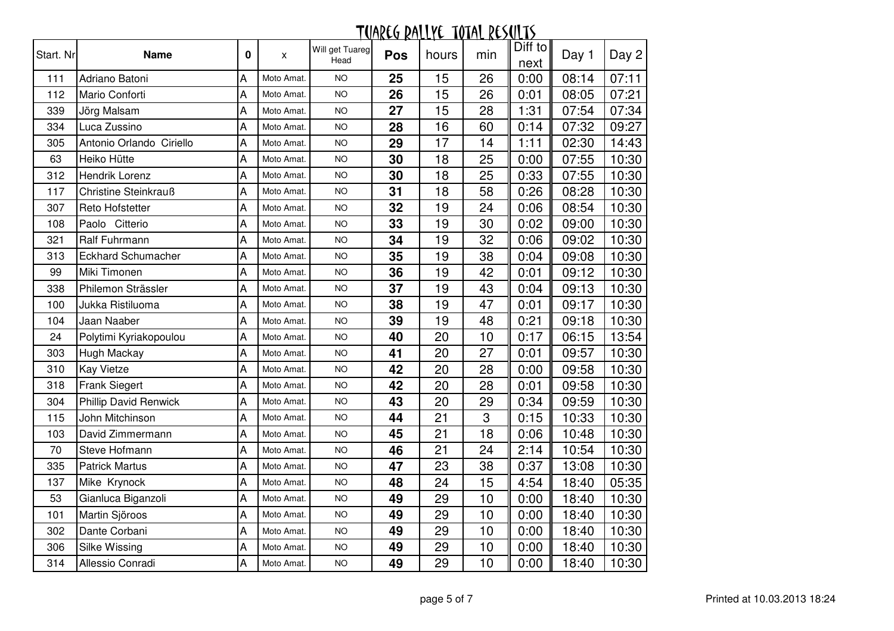| Start. Nr | <b>Name</b>                  | 0                         | X          | Will get Tuareg<br>Head | <b>Pos</b> | hours | min | Diff to<br>next | Day 1 | Day 2 |
|-----------|------------------------------|---------------------------|------------|-------------------------|------------|-------|-----|-----------------|-------|-------|
| 111       | Adriano Batoni               | Α                         | Moto Amat. | <b>NO</b>               | 25         | 15    | 26  | 0:00            | 08:14 | 07:11 |
| 112       | Mario Conforti               | A                         | Moto Amat. | <b>NO</b>               | 26         | 15    | 26  | 0:01            | 08:05 | 07:21 |
| 339       | Jörg Malsam                  | A                         | Moto Amat. | <b>NO</b>               | 27         | 15    | 28  | 1:31            | 07:54 | 07:34 |
| 334       | Luca Zussino                 | A                         | Moto Amat. | <b>NO</b>               | 28         | 16    | 60  | 0:14            | 07:32 | 09:27 |
| 305       | Antonio Orlando Ciriello     | Α                         | Moto Amat. | <b>NO</b>               | 29         | 17    | 14  | 1:11            | 02:30 | 14:43 |
| 63        | Heiko Hütte                  | $\sf A$                   | Moto Amat. | <b>NO</b>               | 30         | 18    | 25  | 0:00            | 07:55 | 10:30 |
| 312       | <b>Hendrik Lorenz</b>        | $\overline{A}$            | Moto Amat. | <b>NO</b>               | 30         | 18    | 25  | 0:33            | 07:55 | 10:30 |
| 117       | Christine Steinkrauß         | A                         | Moto Amat. | <b>NO</b>               | 31         | 18    | 58  | 0:26            | 08:28 | 10:30 |
| 307       | Reto Hofstetter              | A                         | Moto Amat. | <b>NO</b>               | 32         | 19    | 24  | 0:06            | 08:54 | 10:30 |
| 108       | Paolo Citterio               | A                         | Moto Amat. | <b>NO</b>               | 33         | 19    | 30  | 0:02            | 09:00 | 10:30 |
| 321       | Ralf Fuhrmann                | $\boldsymbol{\mathsf{A}}$ | Moto Amat. | <b>NO</b>               | 34         | 19    | 32  | 0:06            | 09:02 | 10:30 |
| 313       | <b>Eckhard Schumacher</b>    | A                         | Moto Amat. | <b>NO</b>               | 35         | 19    | 38  | 0:04            | 09:08 | 10:30 |
| 99        | Miki Timonen                 | A                         | Moto Amat. | <b>NO</b>               | 36         | 19    | 42  | 0:01            | 09:12 | 10:30 |
| 338       | Philemon Strässler           | A                         | Moto Amat. | <b>NO</b>               | 37         | 19    | 43  | 0:04            | 09:13 | 10:30 |
| 100       | Jukka Ristiluoma             | A                         | Moto Amat. | <b>NO</b>               | 38         | 19    | 47  | 0:01            | 09:17 | 10:30 |
| 104       | Jaan Naaber                  | A                         | Moto Amat. | <b>NO</b>               | 39         | 19    | 48  | 0:21            | 09:18 | 10:30 |
| 24        | Polytimi Kyriakopoulou       | A                         | Moto Amat. | <b>NO</b>               | 40         | 20    | 10  | 0:17            | 06:15 | 13:54 |
| 303       | <b>Hugh Mackay</b>           | A                         | Moto Amat. | <b>NO</b>               | 41         | 20    | 27  | 0:01            | 09:57 | 10:30 |
| 310       | <b>Kay Vietze</b>            | A                         | Moto Amat. | <b>NO</b>               | 42         | 20    | 28  | 0:00            | 09:58 | 10:30 |
| 318       | Frank Siegert                | A                         | Moto Amat. | <b>NO</b>               | 42         | 20    | 28  | 0:01            | 09:58 | 10:30 |
| 304       | <b>Phillip David Renwick</b> | A                         | Moto Amat. | <b>NO</b>               | 43         | 20    | 29  | 0:34            | 09:59 | 10:30 |
| 115       | John Mitchinson              | $\overline{A}$            | Moto Amat. | <b>NO</b>               | 44         | 21    | 3   | 0:15            | 10:33 | 10:30 |
| 103       | David Zimmermann             | A                         | Moto Amat. | <b>NO</b>               | 45         | 21    | 18  | 0:06            | 10:48 | 10:30 |
| 70        | Steve Hofmann                | A                         | Moto Amat. | <b>NO</b>               | 46         | 21    | 24  | 2:14            | 10:54 | 10:30 |
| 335       | <b>Patrick Martus</b>        | A                         | Moto Amat. | <b>NO</b>               | 47         | 23    | 38  | 0:37            | 13:08 | 10:30 |
| 137       | Mike Krynock                 | A                         | Moto Amat. | <b>NO</b>               | 48         | 24    | 15  | 4:54            | 18:40 | 05:35 |
| 53        | Gianluca Biganzoli           | A                         | Moto Amat. | <b>NO</b>               | 49         | 29    | 10  | 0:00            | 18:40 | 10:30 |
| 101       | Martin Sjöroos               | A                         | Moto Amat. | <b>NO</b>               | 49         | 29    | 10  | 0:00            | 18:40 | 10:30 |
| 302       | Dante Corbani                | A                         | Moto Amat. | <b>NO</b>               | 49         | 29    | 10  | 0:00            | 18:40 | 10:30 |
| 306       | <b>Silke Wissing</b>         | A                         | Moto Amat. | <b>NO</b>               | 49         | 29    | 10  | 0:00            | 18:40 | 10:30 |
| 314       | Allessio Conradi             | Α                         | Moto Amat. | <b>NO</b>               | 49         | 29    | 10  | 0:00            | 18:40 | 10:30 |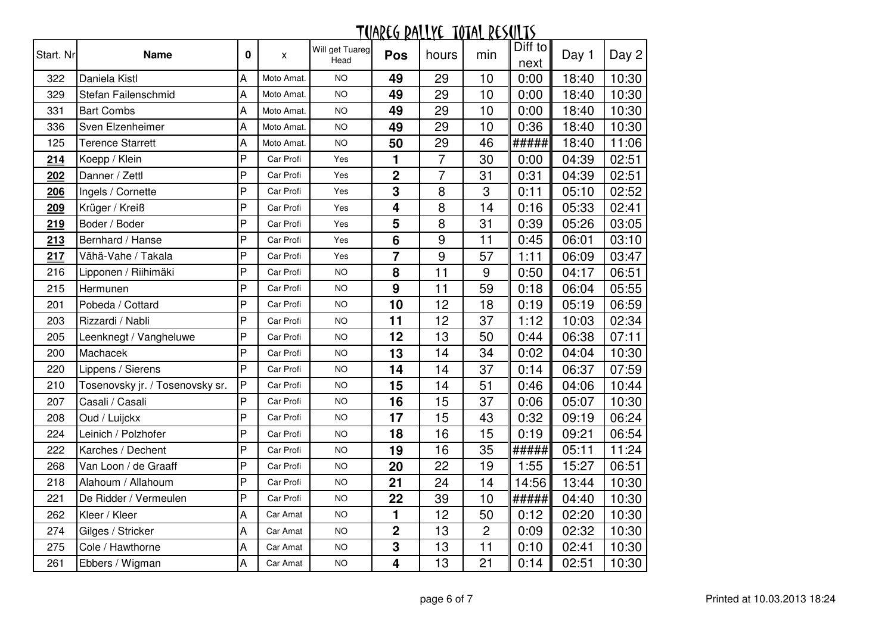| Start. Nr | <b>Name</b>                     | 0 | X          | Will get Tuareg<br>Head | <b>Pos</b>              | hours            | min            | Diff to<br>next | Day 1 | Day 2 |
|-----------|---------------------------------|---|------------|-------------------------|-------------------------|------------------|----------------|-----------------|-------|-------|
| 322       | Daniela Kistl                   | Α | Moto Amat. | <b>NO</b>               | 49                      | 29               | 10             | 0:00            | 18:40 | 10:30 |
| 329       | Stefan Failenschmid             | A | Moto Amat. | <b>NO</b>               | 49                      | 29               | 10             | 0:00            | 18:40 | 10:30 |
| 331       | <b>Bart Combs</b>               | Α | Moto Amat. | <b>NO</b>               | 49                      | 29               | 10             | 0:00            | 18:40 | 10:30 |
| 336       | Sven Elzenheimer                | A | Moto Amat. | <b>NO</b>               | 49                      | 29               | 10             | 0:36            | 18:40 | 10:30 |
| 125       | <b>Terence Starrett</b>         | Α | Moto Amat. | <b>NO</b>               | 50                      | 29               | 46             | #####           | 18:40 | 11:06 |
| 214       | Koepp / Klein                   | P | Car Profi  | Yes                     | 1                       | $\overline{7}$   | 30             | 0:00            | 04:39 | 02:51 |
| 202       | Danner / Zettl                  | P | Car Profi  | Yes                     | $\overline{2}$          | $\overline{7}$   | 31             | 0:31            | 04:39 | 02:51 |
| 206       | Ingels / Cornette               | P | Car Profi  | Yes                     | $\mathbf{3}$            | 8                | 3              | 0:11            | 05:10 | 02:52 |
| 209       | Krüger / Kreiß                  | P | Car Profi  | Yes                     | $\overline{\mathbf{4}}$ | 8                | 14             | 0:16            | 05:33 | 02:41 |
| 219       | Boder / Boder                   | P | Car Profi  | Yes                     | 5                       | 8                | 31             | 0:39            | 05:26 | 03:05 |
| 213       | Bernhard / Hanse                | P | Car Profi  | Yes                     | $6\phantom{1}6$         | 9                | 11             | 0:45            | 06:01 | 03:10 |
| 217       | Vähä-Vahe / Takala              | P | Car Profi  | Yes                     | 7                       | $\boldsymbol{9}$ | 57             | 1:11            | 06:09 | 03:47 |
| 216       | Lipponen / Riihimäki            | P | Car Profi  | <b>NO</b>               | 8                       | 11               | $9$            | 0:50            | 04:17 | 06:51 |
| 215       | Hermunen                        | P | Car Profi  | <b>NO</b>               | 9                       | 11               | 59             | 0:18            | 06:04 | 05:55 |
| 201       | Pobeda / Cottard                | P | Car Profi  | <b>NO</b>               | 10                      | 12               | 18             | 0:19            | 05:19 | 06:59 |
| 203       | Rizzardi / Nabli                | P | Car Profi  | <b>NO</b>               | 11                      | 12               | 37             | 1:12            | 10:03 | 02:34 |
| 205       | Leenknegt / Vangheluwe          | P | Car Profi  | <b>NO</b>               | 12                      | 13               | 50             | 0:44            | 06:38 | 07:11 |
| 200       | Machacek                        | P | Car Profi  | <b>NO</b>               | 13                      | 14               | 34             | 0:02            | 04:04 | 10:30 |
| 220       | Lippens / Sierens               | P | Car Profi  | <b>NO</b>               | 14                      | 14               | 37             | 0:14            | 06:37 | 07:59 |
| 210       | Tosenovsky jr. / Tosenovsky sr. | P | Car Profi  | <b>NO</b>               | 15                      | 14               | 51             | 0:46            | 04:06 | 10:44 |
| 207       | Casali / Casali                 | P | Car Profi  | <b>NO</b>               | 16                      | 15               | 37             | 0:06            | 05:07 | 10:30 |
| 208       | Oud / Luijckx                   | P | Car Profi  | <b>NO</b>               | 17                      | 15               | 43             | 0:32            | 09:19 | 06:24 |
| 224       | Leinich / Polzhofer             | P | Car Profi  | <b>NO</b>               | 18                      | 16               | 15             | 0:19            | 09:21 | 06:54 |
| 222       | Karches / Dechent               | P | Car Profi  | <b>NO</b>               | 19                      | 16               | 35             | #####           | 05:11 | 11:24 |
| 268       | Van Loon / de Graaff            | P | Car Profi  | <b>NO</b>               | 20                      | 22               | 19             | 1:55            | 15:27 | 06:51 |
| 218       | Alahoum / Allahoum              | P | Car Profi  | <b>NO</b>               | 21                      | 24               | 14             | 14:56           | 13:44 | 10:30 |
| 221       | De Ridder / Vermeulen           | P | Car Profi  | <b>NO</b>               | 22                      | 39               | 10             | #####           | 04:40 | 10:30 |
| 262       | Kleer / Kleer                   | A | Car Amat   | <b>NO</b>               | 1                       | 12               | 50             | 0:12            | 02:20 | 10:30 |
| 274       | Gilges / Stricker               | A | Car Amat   | <b>NO</b>               | $\mathbf 2$             | 13               | $\overline{c}$ | 0:09            | 02:32 | 10:30 |
| 275       | Cole / Hawthorne                | A | Car Amat   | <b>NO</b>               | $\mathbf{3}$            | 13               | 11             | 0:10            | 02:41 | 10:30 |
| 261       | Ebbers / Wigman                 | Α | Car Amat   | <b>NO</b>               | 4                       | 13               | 21             | 0:14            | 02:51 | 10:30 |